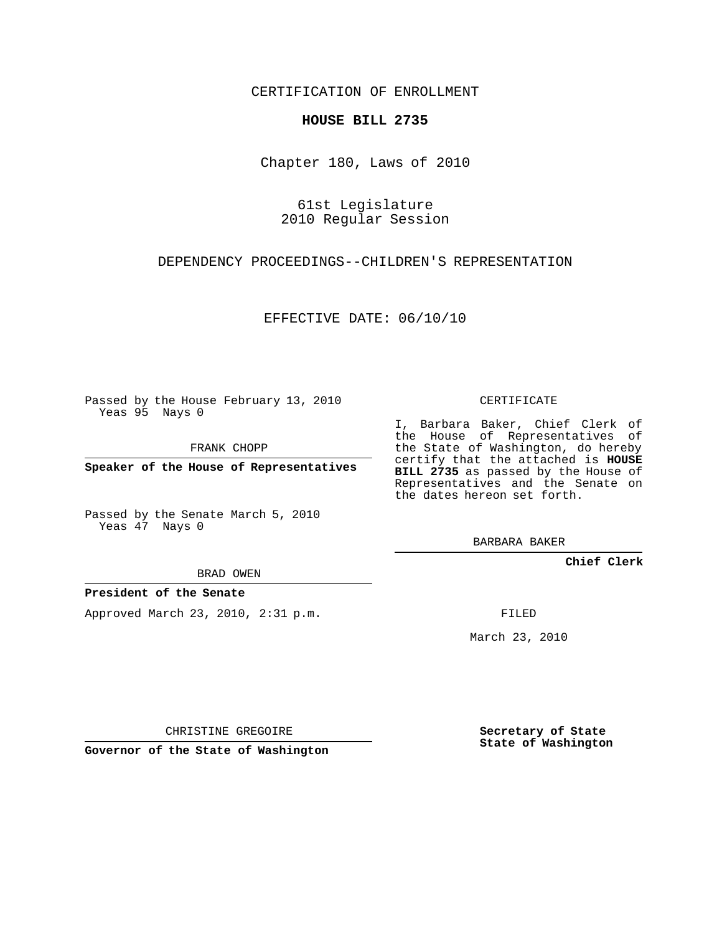CERTIFICATION OF ENROLLMENT

#### **HOUSE BILL 2735**

Chapter 180, Laws of 2010

61st Legislature 2010 Regular Session

DEPENDENCY PROCEEDINGS--CHILDREN'S REPRESENTATION

EFFECTIVE DATE: 06/10/10

Passed by the House February 13, 2010 Yeas 95 Nays 0

FRANK CHOPP

**Speaker of the House of Representatives**

Passed by the Senate March 5, 2010 Yeas 47 Nays 0

BRAD OWEN

#### **President of the Senate**

Approved March 23, 2010, 2:31 p.m.

CERTIFICATE

I, Barbara Baker, Chief Clerk of the House of Representatives of the State of Washington, do hereby certify that the attached is **HOUSE BILL 2735** as passed by the House of Representatives and the Senate on the dates hereon set forth.

BARBARA BAKER

**Chief Clerk**

FILED

March 23, 2010

**Secretary of State State of Washington**

**Governor of the State of Washington**

CHRISTINE GREGOIRE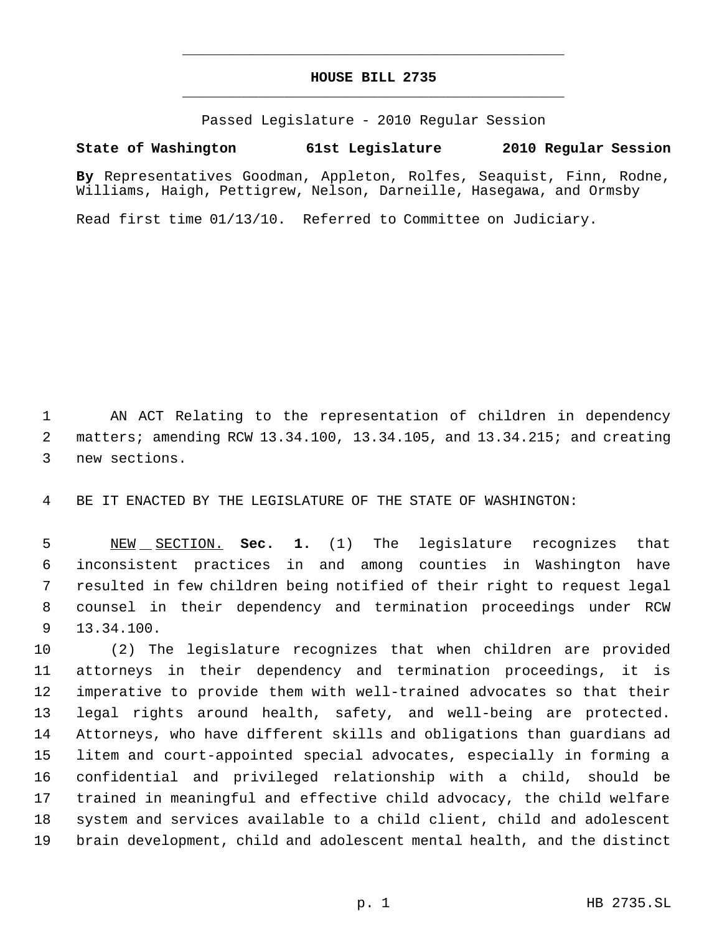### **HOUSE BILL 2735** \_\_\_\_\_\_\_\_\_\_\_\_\_\_\_\_\_\_\_\_\_\_\_\_\_\_\_\_\_\_\_\_\_\_\_\_\_\_\_\_\_\_\_\_\_

\_\_\_\_\_\_\_\_\_\_\_\_\_\_\_\_\_\_\_\_\_\_\_\_\_\_\_\_\_\_\_\_\_\_\_\_\_\_\_\_\_\_\_\_\_

Passed Legislature - 2010 Regular Session

### **State of Washington 61st Legislature 2010 Regular Session**

**By** Representatives Goodman, Appleton, Rolfes, Seaquist, Finn, Rodne, Williams, Haigh, Pettigrew, Nelson, Darneille, Hasegawa, and Ormsby

Read first time 01/13/10. Referred to Committee on Judiciary.

 AN ACT Relating to the representation of children in dependency matters; amending RCW 13.34.100, 13.34.105, and 13.34.215; and creating new sections.

BE IT ENACTED BY THE LEGISLATURE OF THE STATE OF WASHINGTON:

 NEW SECTION. **Sec. 1.** (1) The legislature recognizes that inconsistent practices in and among counties in Washington have resulted in few children being notified of their right to request legal counsel in their dependency and termination proceedings under RCW 13.34.100.

 (2) The legislature recognizes that when children are provided attorneys in their dependency and termination proceedings, it is imperative to provide them with well-trained advocates so that their legal rights around health, safety, and well-being are protected. Attorneys, who have different skills and obligations than guardians ad litem and court-appointed special advocates, especially in forming a confidential and privileged relationship with a child, should be trained in meaningful and effective child advocacy, the child welfare system and services available to a child client, child and adolescent brain development, child and adolescent mental health, and the distinct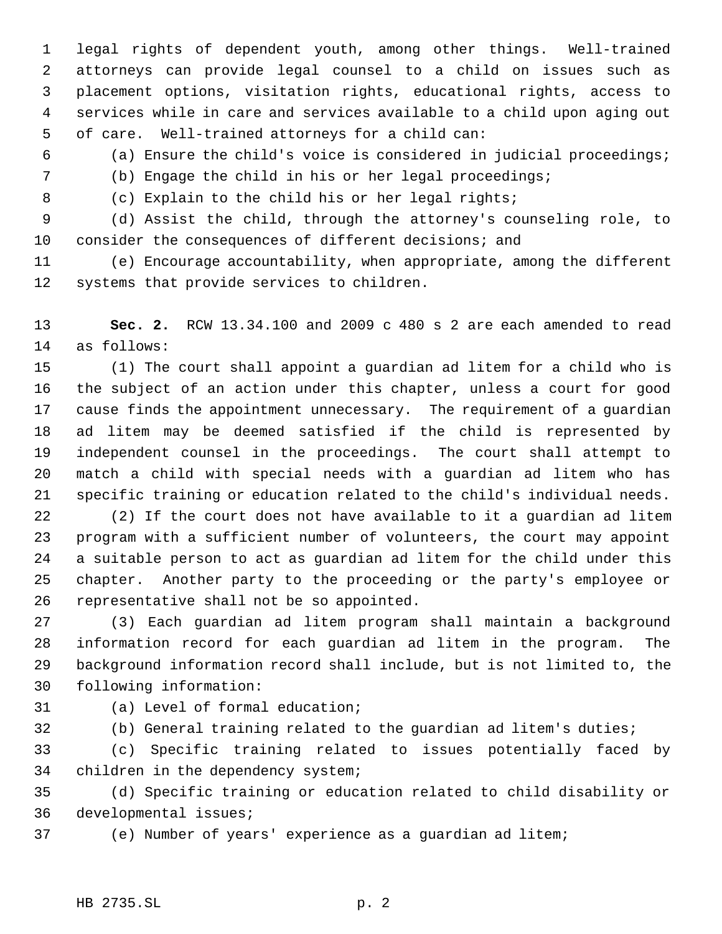legal rights of dependent youth, among other things. Well-trained attorneys can provide legal counsel to a child on issues such as placement options, visitation rights, educational rights, access to services while in care and services available to a child upon aging out of care. Well-trained attorneys for a child can:

(a) Ensure the child's voice is considered in judicial proceedings;

- (b) Engage the child in his or her legal proceedings;
- 
- (c) Explain to the child his or her legal rights;

 (d) Assist the child, through the attorney's counseling role, to consider the consequences of different decisions; and

 (e) Encourage accountability, when appropriate, among the different systems that provide services to children.

 **Sec. 2.** RCW 13.34.100 and 2009 c 480 s 2 are each amended to read as follows:

 (1) The court shall appoint a guardian ad litem for a child who is the subject of an action under this chapter, unless a court for good cause finds the appointment unnecessary. The requirement of a guardian ad litem may be deemed satisfied if the child is represented by independent counsel in the proceedings. The court shall attempt to match a child with special needs with a guardian ad litem who has specific training or education related to the child's individual needs.

 (2) If the court does not have available to it a guardian ad litem program with a sufficient number of volunteers, the court may appoint a suitable person to act as guardian ad litem for the child under this chapter. Another party to the proceeding or the party's employee or representative shall not be so appointed.

 (3) Each guardian ad litem program shall maintain a background information record for each guardian ad litem in the program. The background information record shall include, but is not limited to, the following information:

(a) Level of formal education;

(b) General training related to the guardian ad litem's duties;

 (c) Specific training related to issues potentially faced by children in the dependency system;

 (d) Specific training or education related to child disability or developmental issues;

(e) Number of years' experience as a guardian ad litem;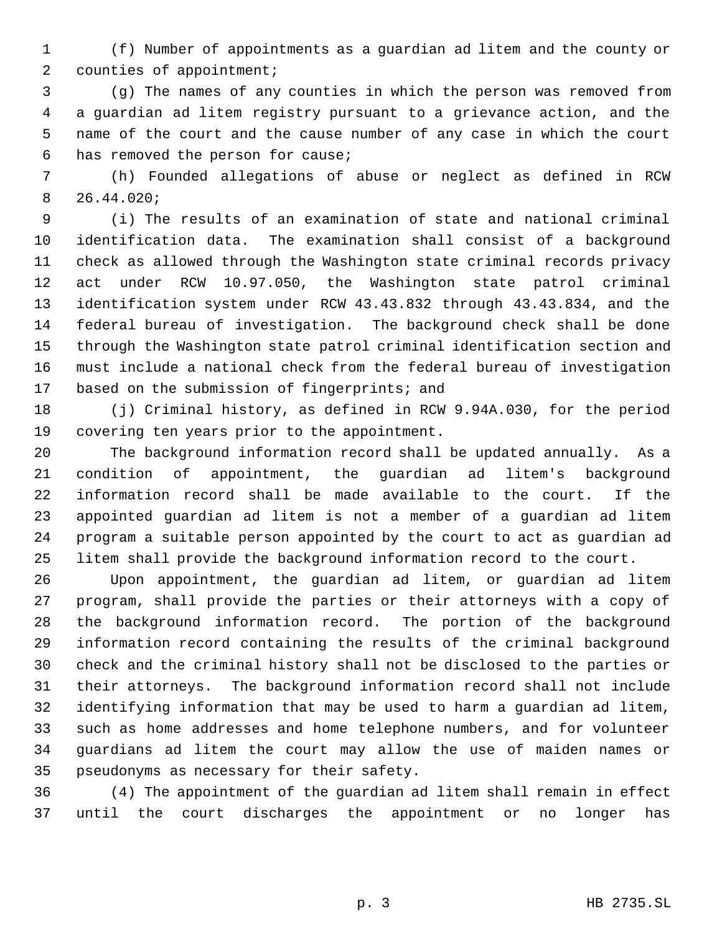(f) Number of appointments as a guardian ad litem and the county or counties of appointment;

 (g) The names of any counties in which the person was removed from a guardian ad litem registry pursuant to a grievance action, and the name of the court and the cause number of any case in which the court has removed the person for cause;

 (h) Founded allegations of abuse or neglect as defined in RCW 26.44.020;

 (i) The results of an examination of state and national criminal identification data. The examination shall consist of a background check as allowed through the Washington state criminal records privacy act under RCW 10.97.050, the Washington state patrol criminal identification system under RCW 43.43.832 through 43.43.834, and the federal bureau of investigation. The background check shall be done through the Washington state patrol criminal identification section and must include a national check from the federal bureau of investigation 17 based on the submission of fingerprints; and

 (j) Criminal history, as defined in RCW 9.94A.030, for the period covering ten years prior to the appointment.

 The background information record shall be updated annually. As a condition of appointment, the guardian ad litem's background information record shall be made available to the court. If the appointed guardian ad litem is not a member of a guardian ad litem program a suitable person appointed by the court to act as guardian ad litem shall provide the background information record to the court.

 Upon appointment, the guardian ad litem, or guardian ad litem program, shall provide the parties or their attorneys with a copy of the background information record. The portion of the background information record containing the results of the criminal background check and the criminal history shall not be disclosed to the parties or their attorneys. The background information record shall not include identifying information that may be used to harm a guardian ad litem, such as home addresses and home telephone numbers, and for volunteer guardians ad litem the court may allow the use of maiden names or pseudonyms as necessary for their safety.

 (4) The appointment of the guardian ad litem shall remain in effect until the court discharges the appointment or no longer has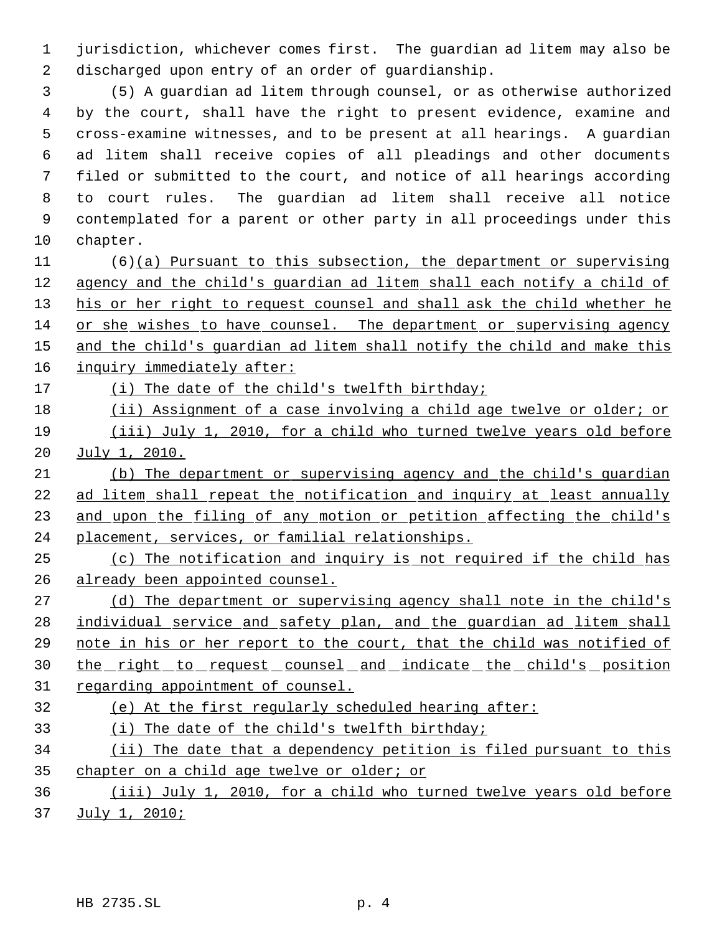jurisdiction, whichever comes first. The guardian ad litem may also be discharged upon entry of an order of guardianship.

 (5) A guardian ad litem through counsel, or as otherwise authorized by the court, shall have the right to present evidence, examine and cross-examine witnesses, and to be present at all hearings. A guardian ad litem shall receive copies of all pleadings and other documents filed or submitted to the court, and notice of all hearings according to court rules. The guardian ad litem shall receive all notice contemplated for a parent or other party in all proceedings under this chapter.

 (6)(a) Pursuant to this subsection, the department or supervising agency and the child's guardian ad litem shall each notify a child of 13 his or her right to request counsel and shall ask the child whether he 14 or she wishes to have counsel. The department or supervising agency 15 and the child's guardian ad litem shall notify the child and make this inquiry immediately after:

(i) The date of the child's twelfth birthday;

 (ii) Assignment of a case involving a child age twelve or older; or (iii) July 1, 2010, for a child who turned twelve years old before

July 1, 2010.

 (b) The department or supervising agency and the child's guardian ad litem shall repeat the notification and inquiry at least annually 23 and upon the filing of any motion or petition affecting the child's placement, services, or familial relationships.

 (c) The notification and inquiry is not required if the child has already been appointed counsel.

27 (d) The department or supervising agency shall note in the child's individual service and safety plan, and the guardian ad litem shall note in his or her report to the court, that the child was notified of 30 the right to request counsel and indicate the child's position 31 regarding appointment of counsel.

## (e) At the first regularly scheduled hearing after:

(i) The date of the child's twelfth birthday;

 (ii) The date that a dependency petition is filed pursuant to this chapter on a child age twelve or older; or

# (iii) July 1, 2010, for a child who turned twelve years old before July 1, 2010;

HB 2735.SL p. 4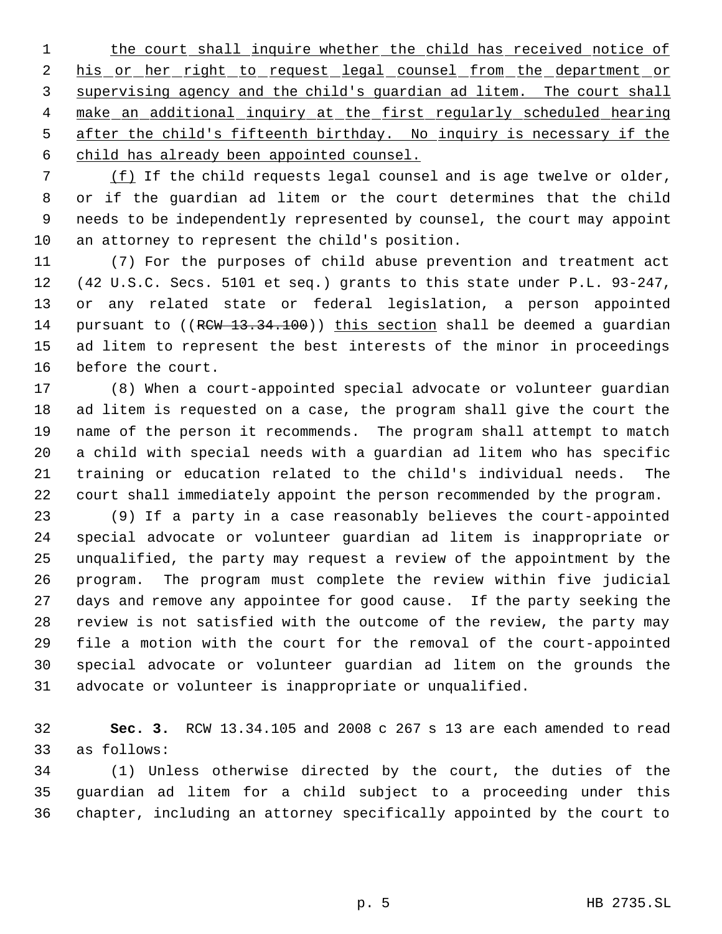1 the court shall inquire whether the child has received notice of 2 his or her right to request legal counsel from the department or supervising agency and the child's guardian ad litem. The court shall 4 make an additional inquiry at the first regularly scheduled hearing after the child's fifteenth birthday. No inquiry is necessary if the child has already been appointed counsel.

 (f) If the child requests legal counsel and is age twelve or older, or if the guardian ad litem or the court determines that the child needs to be independently represented by counsel, the court may appoint an attorney to represent the child's position.

 (7) For the purposes of child abuse prevention and treatment act (42 U.S.C. Secs. 5101 et seq.) grants to this state under P.L. 93-247, or any related state or federal legislation, a person appointed 14 pursuant to ((RCW 13.34.100)) this section shall be deemed a quardian ad litem to represent the best interests of the minor in proceedings before the court.

 (8) When a court-appointed special advocate or volunteer guardian ad litem is requested on a case, the program shall give the court the name of the person it recommends. The program shall attempt to match a child with special needs with a guardian ad litem who has specific training or education related to the child's individual needs. The court shall immediately appoint the person recommended by the program.

 (9) If a party in a case reasonably believes the court-appointed special advocate or volunteer guardian ad litem is inappropriate or unqualified, the party may request a review of the appointment by the program. The program must complete the review within five judicial days and remove any appointee for good cause. If the party seeking the review is not satisfied with the outcome of the review, the party may file a motion with the court for the removal of the court-appointed special advocate or volunteer guardian ad litem on the grounds the advocate or volunteer is inappropriate or unqualified.

 **Sec. 3.** RCW 13.34.105 and 2008 c 267 s 13 are each amended to read as follows:

 (1) Unless otherwise directed by the court, the duties of the guardian ad litem for a child subject to a proceeding under this chapter, including an attorney specifically appointed by the court to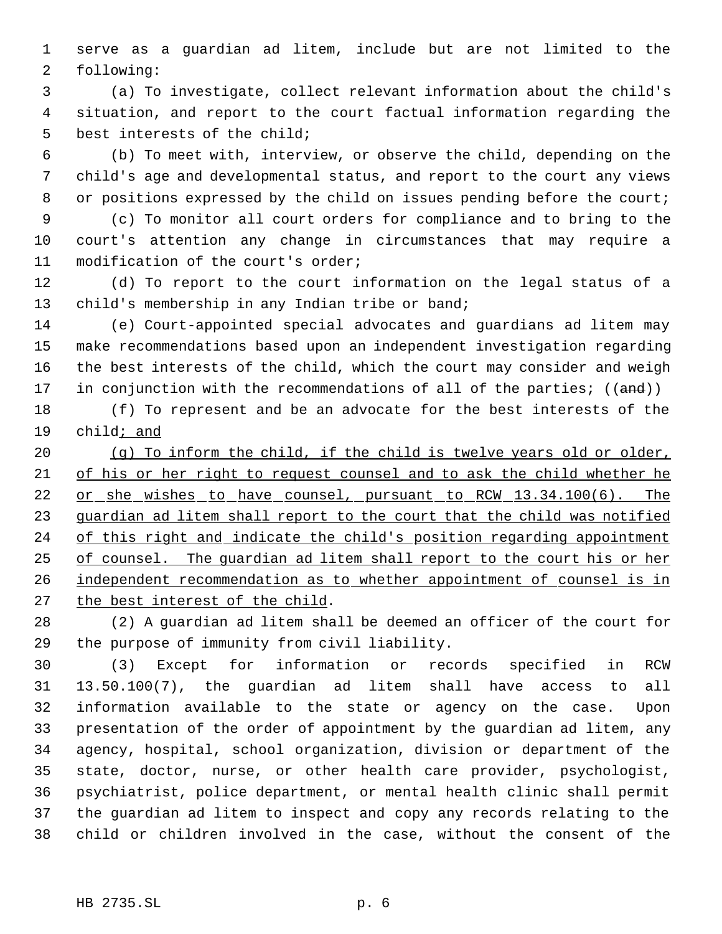serve as a guardian ad litem, include but are not limited to the following:

 (a) To investigate, collect relevant information about the child's situation, and report to the court factual information regarding the best interests of the child;

 (b) To meet with, interview, or observe the child, depending on the child's age and developmental status, and report to the court any views 8 or positions expressed by the child on issues pending before the court;

 (c) To monitor all court orders for compliance and to bring to the court's attention any change in circumstances that may require a modification of the court's order;

 (d) To report to the court information on the legal status of a 13 child's membership in any Indian tribe or band;

 (e) Court-appointed special advocates and guardians ad litem may make recommendations based upon an independent investigation regarding the best interests of the child, which the court may consider and weigh 17 in conjunction with the recommendations of all of the parties; ((and))

 (f) To represent and be an advocate for the best interests of the child; and

 (g) To inform the child, if the child is twelve years old or older, of his or her right to request counsel and to ask the child whether he 22 or she wishes to have counsel, pursuant to RCW 13.34.100(6). The guardian ad litem shall report to the court that the child was notified 24 of this right and indicate the child's position regarding appointment of counsel. The guardian ad litem shall report to the court his or her 26 independent recommendation as to whether appointment of counsel is in 27 the best interest of the child.

 (2) A guardian ad litem shall be deemed an officer of the court for the purpose of immunity from civil liability.

 (3) Except for information or records specified in RCW 13.50.100(7), the guardian ad litem shall have access to all information available to the state or agency on the case. Upon presentation of the order of appointment by the guardian ad litem, any agency, hospital, school organization, division or department of the state, doctor, nurse, or other health care provider, psychologist, psychiatrist, police department, or mental health clinic shall permit the guardian ad litem to inspect and copy any records relating to the child or children involved in the case, without the consent of the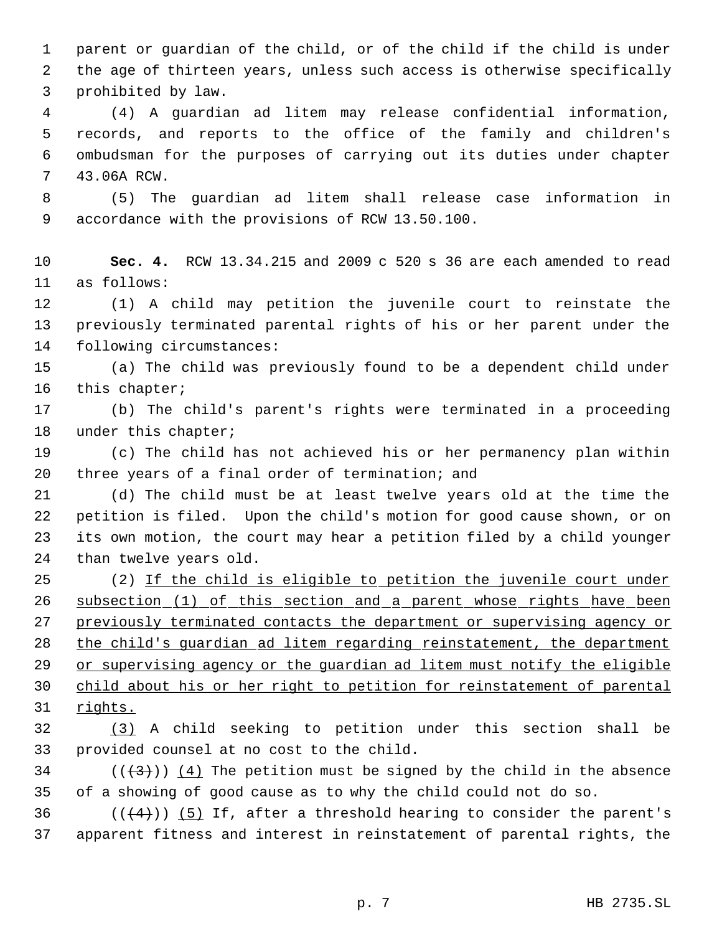parent or guardian of the child, or of the child if the child is under the age of thirteen years, unless such access is otherwise specifically prohibited by law.

 (4) A guardian ad litem may release confidential information, records, and reports to the office of the family and children's ombudsman for the purposes of carrying out its duties under chapter 43.06A RCW.

 (5) The guardian ad litem shall release case information in accordance with the provisions of RCW 13.50.100.

 **Sec. 4.** RCW 13.34.215 and 2009 c 520 s 36 are each amended to read as follows:

 (1) A child may petition the juvenile court to reinstate the previously terminated parental rights of his or her parent under the following circumstances:

 (a) The child was previously found to be a dependent child under this chapter;

 (b) The child's parent's rights were terminated in a proceeding 18 under this chapter;

 (c) The child has not achieved his or her permanency plan within three years of a final order of termination; and

 (d) The child must be at least twelve years old at the time the petition is filed. Upon the child's motion for good cause shown, or on its own motion, the court may hear a petition filed by a child younger than twelve years old.

25 (2) If the child is eligible to petition the juvenile court under subsection (1) of this section and a parent whose rights have been previously terminated contacts the department or supervising agency or 28 the child's guardian ad litem regarding reinstatement, the department 29 or supervising agency or the guardian ad litem must notify the eligible child about his or her right to petition for reinstatement of parental rights.

 (3) A child seeking to petition under this section shall be provided counsel at no cost to the child.

34 ( $(\frac{43}{})$ ) (4) The petition must be signed by the child in the absence of a showing of good cause as to why the child could not do so.

36  $((\langle 4 \rangle) )$  (5) If, after a threshold hearing to consider the parent's apparent fitness and interest in reinstatement of parental rights, the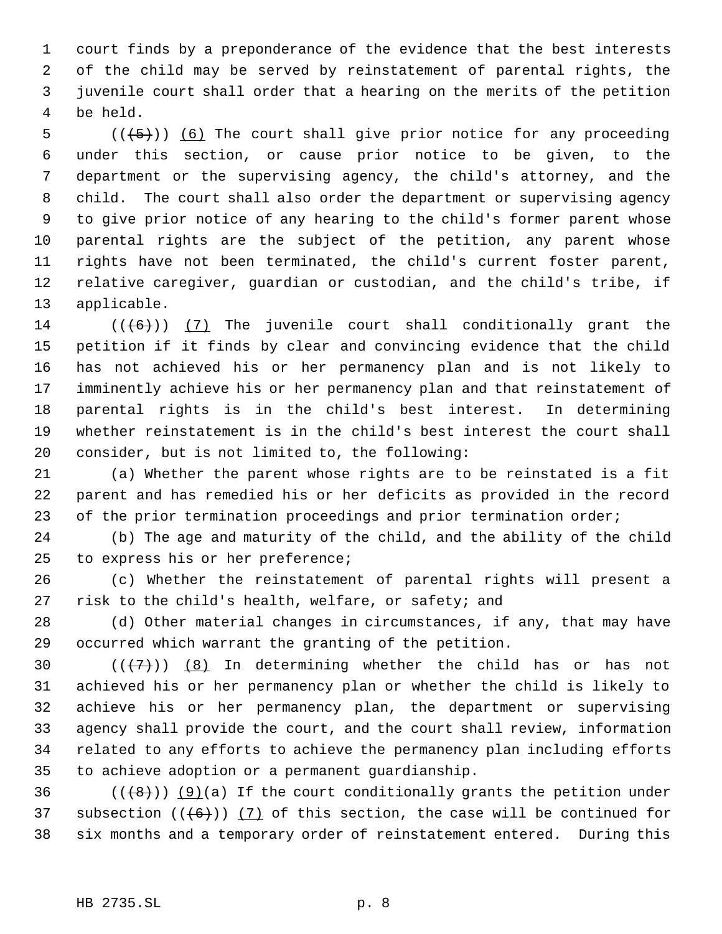court finds by a preponderance of the evidence that the best interests of the child may be served by reinstatement of parental rights, the juvenile court shall order that a hearing on the merits of the petition be held.

 $((+5))$  (6) The court shall give prior notice for any proceeding under this section, or cause prior notice to be given, to the department or the supervising agency, the child's attorney, and the child. The court shall also order the department or supervising agency to give prior notice of any hearing to the child's former parent whose parental rights are the subject of the petition, any parent whose rights have not been terminated, the child's current foster parent, relative caregiver, guardian or custodian, and the child's tribe, if applicable.

 $((+6))$   $(7)$  The juvenile court shall conditionally grant the petition if it finds by clear and convincing evidence that the child has not achieved his or her permanency plan and is not likely to imminently achieve his or her permanency plan and that reinstatement of parental rights is in the child's best interest. In determining whether reinstatement is in the child's best interest the court shall consider, but is not limited to, the following:

 (a) Whether the parent whose rights are to be reinstated is a fit parent and has remedied his or her deficits as provided in the record 23 of the prior termination proceedings and prior termination order;

 (b) The age and maturity of the child, and the ability of the child to express his or her preference;

 (c) Whether the reinstatement of parental rights will present a risk to the child's health, welfare, or safety; and

 (d) Other material changes in circumstances, if any, that may have occurred which warrant the granting of the petition.

 $((+7))$   $(8)$  In determining whether the child has or has not achieved his or her permanency plan or whether the child is likely to achieve his or her permanency plan, the department or supervising agency shall provide the court, and the court shall review, information related to any efforts to achieve the permanency plan including efforts to achieve adoption or a permanent guardianship.

36  $((+8))$  (9)(a) If the court conditionally grants the petition under 37 subsection  $((6+))$  (7) of this section, the case will be continued for six months and a temporary order of reinstatement entered. During this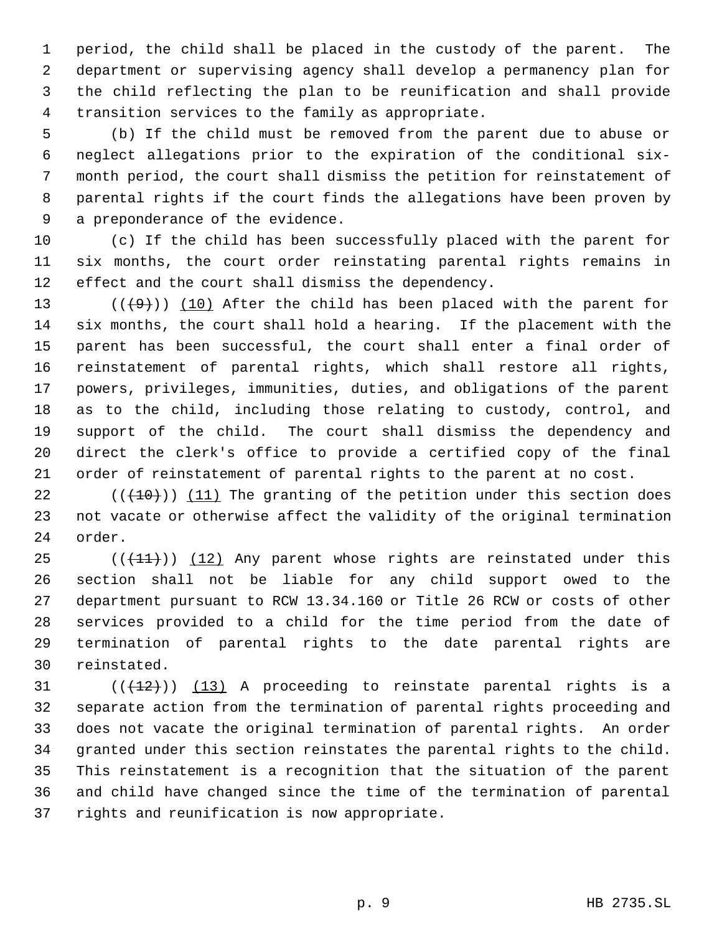period, the child shall be placed in the custody of the parent. The department or supervising agency shall develop a permanency plan for the child reflecting the plan to be reunification and shall provide transition services to the family as appropriate.

 (b) If the child must be removed from the parent due to abuse or neglect allegations prior to the expiration of the conditional six- month period, the court shall dismiss the petition for reinstatement of parental rights if the court finds the allegations have been proven by a preponderance of the evidence.

 (c) If the child has been successfully placed with the parent for six months, the court order reinstating parental rights remains in effect and the court shall dismiss the dependency.

 $((+9))$  (10) After the child has been placed with the parent for six months, the court shall hold a hearing. If the placement with the parent has been successful, the court shall enter a final order of reinstatement of parental rights, which shall restore all rights, powers, privileges, immunities, duties, and obligations of the parent as to the child, including those relating to custody, control, and support of the child. The court shall dismiss the dependency and direct the clerk's office to provide a certified copy of the final order of reinstatement of parental rights to the parent at no cost.

22  $((+10))$  (11) The granting of the petition under this section does not vacate or otherwise affect the validity of the original termination order.

 (( $(11)$ )) (12) Any parent whose rights are reinstated under this section shall not be liable for any child support owed to the department pursuant to RCW 13.34.160 or Title 26 RCW or costs of other services provided to a child for the time period from the date of termination of parental rights to the date parental rights are reinstated.

 $((+12))$   $(13)$  A proceeding to reinstate parental rights is a separate action from the termination of parental rights proceeding and does not vacate the original termination of parental rights. An order granted under this section reinstates the parental rights to the child. This reinstatement is a recognition that the situation of the parent and child have changed since the time of the termination of parental rights and reunification is now appropriate.